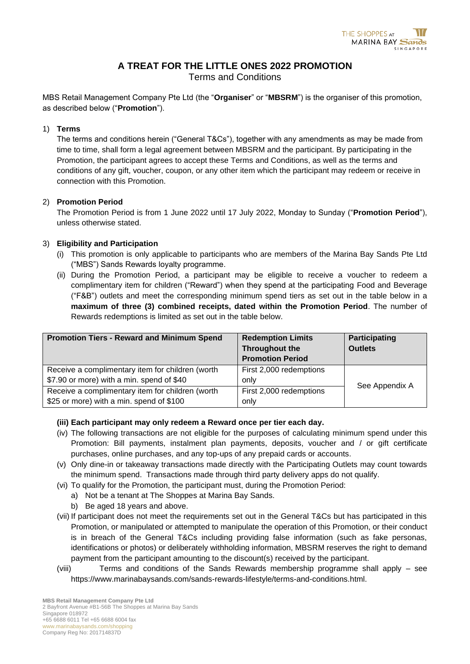# **A TREAT FOR THE LITTLE ONES 2022 PROMOTION**

Terms and Conditions

MBS Retail Management Company Pte Ltd (the "**Organiser**" or "**MBSRM**") is the organiser of this promotion, as described below ("**Promotion**").

#### 1) **Terms**

The terms and conditions herein ("General T&Cs"), together with any amendments as may be made from time to time, shall form a legal agreement between MBSRM and the participant. By participating in the Promotion, the participant agrees to accept these Terms and Conditions, as well as the terms and conditions of any gift, voucher, coupon, or any other item which the participant may redeem or receive in connection with this Promotion.

## 2) **Promotion Period**

The Promotion Period is from 1 June 2022 until 17 July 2022, Monday to Sunday ("**Promotion Period**"), unless otherwise stated.

## 3) **Eligibility and Participation**

- (i) This promotion is only applicable to participants who are members of the Marina Bay Sands Pte Ltd ("MBS") Sands Rewards loyalty programme.
- (ii) During the Promotion Period, a participant may be eligible to receive a voucher to redeem a complimentary item for children ("Reward") when they spend at the participating Food and Beverage ("F&B") outlets and meet the corresponding minimum spend tiers as set out in the table below in a **maximum of three (3) combined receipts, dated within the Promotion Period**. The number of Rewards redemptions is limited as set out in the table below.

| <b>Promotion Tiers - Reward and Minimum Spend</b> | <b>Redemption Limits</b> | Participating  |
|---------------------------------------------------|--------------------------|----------------|
|                                                   | Throughout the           | <b>Outlets</b> |
|                                                   | <b>Promotion Period</b>  |                |
| Receive a complimentary item for children (worth  | First 2,000 redemptions  |                |
| \$7.90 or more) with a min. spend of \$40         | only                     | See Appendix A |
| Receive a complimentary item for children (worth  | First 2,000 redemptions  |                |
| \$25 or more) with a min. spend of \$100          | only                     |                |

# **(iii) Each participant may only redeem a Reward once per tier each day.**

- (iv) The following transactions are not eligible for the purposes of calculating minimum spend under this Promotion: Bill payments, instalment plan payments, deposits, voucher and / or gift certificate purchases, online purchases, and any top-ups of any prepaid cards or accounts.
- (v) Only dine-in or takeaway transactions made directly with the Participating Outlets may count towards the minimum spend. Transactions made through third party delivery apps do not qualify.
- (vi) To qualify for the Promotion, the participant must, during the Promotion Period:
	- a) Not be a tenant at The Shoppes at Marina Bay Sands.
	- b) Be aged 18 years and above.
- (vii) If participant does not meet the requirements set out in the General T&Cs but has participated in this Promotion, or manipulated or attempted to manipulate the operation of this Promotion, or their conduct is in breach of the General T&Cs including providing false information (such as fake personas, identifications or photos) or deliberately withholding information, MBSRM reserves the right to demand payment from the participant amounting to the discount(s) received by the participant.
- (viii) Terms and conditions of the Sands Rewards membership programme shall apply see [https://www.marinabaysands.com/sands-rewards-lifestyle/terms-and-conditions.html.](https://www.marinabaysands.com/sands-rewards-lifestyle/terms-and-conditions.html)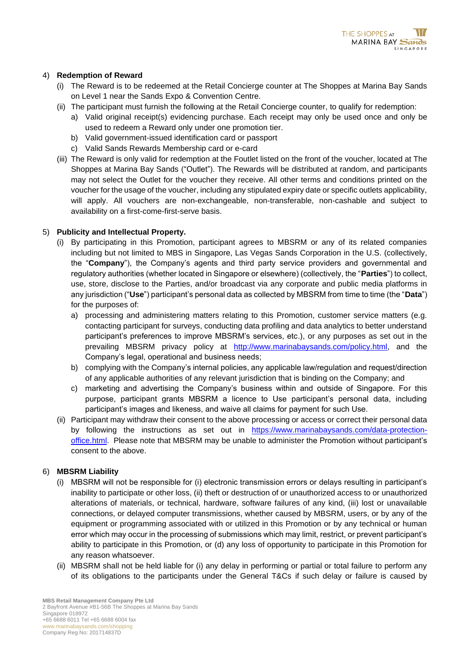#### 4) **Redemption of Reward**

- (i) The Reward is to be redeemed at the Retail Concierge counter at The Shoppes at Marina Bay Sands on Level 1 near the Sands Expo & Convention Centre.
- (ii) The participant must furnish the following at the Retail Concierge counter, to qualify for redemption:
	- a) Valid original receipt(s) evidencing purchase. Each receipt may only be used once and only be used to redeem a Reward only under one promotion tier.
	- b) Valid government-issued identification card or passport
	- c) Valid Sands Rewards Membership card or e-card
- (iii) The Reward is only valid for redemption at the Foutlet listed on the front of the voucher, located at The Shoppes at Marina Bay Sands ("Outlet"). The Rewards will be distributed at random, and participants may not select the Outlet for the voucher they receive. All other terms and conditions printed on the voucher for the usage of the voucher, including any stipulated expiry date or specific outlets applicability, will apply. All vouchers are non-exchangeable, non-transferable, non-cashable and subject to availability on a first-come-first-serve basis.

#### 5) **Publicity and Intellectual Property.**

- (i) By participating in this Promotion, participant agrees to MBSRM or any of its related companies including but not limited to MBS in Singapore, Las Vegas Sands Corporation in the U.S. (collectively, the "**Company**"), the Company's agents and third party service providers and governmental and regulatory authorities (whether located in Singapore or elsewhere) (collectively, the "**Parties**") to collect, use, store, disclose to the Parties, and/or broadcast via any corporate and public media platforms in any jurisdiction ("**Use**") participant's personal data as collected by MBSRM from time to time (the "**Data**") for the purposes of:
	- a) processing and administering matters relating to this Promotion, customer service matters (e.g. contacting participant for surveys, conducting data profiling and data analytics to better understand participant's preferences to improve MBSRM's services, etc.), or any purposes as set out in the prevailing MBSRM privacy policy at [http://www.marinabaysands.com/policy.html,](http://www.marinabaysands.com/policy.html) and the Company's legal, operational and business needs;
	- b) complying with the Company's internal policies, any applicable law/regulation and request/direction of any applicable authorities of any relevant jurisdiction that is binding on the Company; and
	- c) marketing and advertising the Company's business within and outside of Singapore. For this purpose, participant grants MBSRM a licence to Use participant's personal data, including participant's images and likeness, and waive all claims for payment for such Use.
- (ii) Participant may withdraw their consent to the above processing or access or correct their personal data by following the instructions as set out in [https://www.marinabaysands.com/data-protection](https://www.marinabaysands.com/data-protection-office.html)[office.html.](https://www.marinabaysands.com/data-protection-office.html) Please note that MBSRM may be unable to administer the Promotion without participant's consent to the above.

#### 6) **MBSRM Liability**

- (i) MBSRM will not be responsible for (i) electronic transmission errors or delays resulting in participant's inability to participate or other loss, (ii) theft or destruction of or unauthorized access to or unauthorized alterations of materials, or technical, hardware, software failures of any kind, (iii) lost or unavailable connections, or delayed computer transmissions, whether caused by MBSRM, users, or by any of the equipment or programming associated with or utilized in this Promotion or by any technical or human error which may occur in the processing of submissions which may limit, restrict, or prevent participant's ability to participate in this Promotion, or (d) any loss of opportunity to participate in this Promotion for any reason whatsoever.
- (ii) MBSRM shall not be held liable for (i) any delay in performing or partial or total failure to perform any of its obligations to the participants under the General T&Cs if such delay or failure is caused by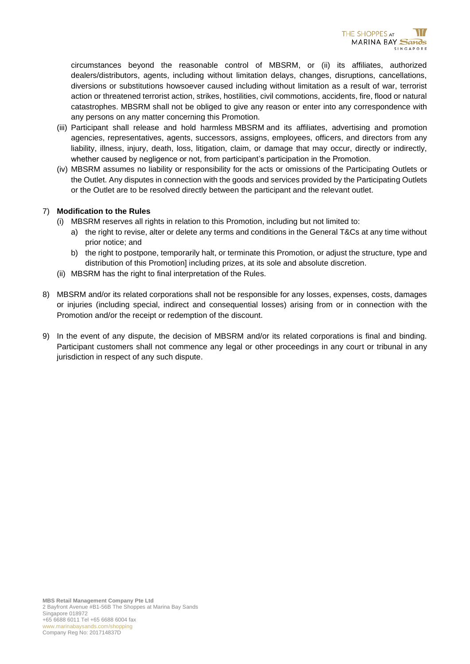circumstances beyond the reasonable control of MBSRM, or (ii) its affiliates, authorized dealers/distributors, agents, including without limitation delays, changes, disruptions, cancellations, diversions or substitutions howsoever caused including without limitation as a result of war, terrorist action or threatened terrorist action, strikes, hostilities, civil commotions, accidents, fire, flood or natural catastrophes. MBSRM shall not be obliged to give any reason or enter into any correspondence with any persons on any matter concerning this Promotion.

- (iii) Participant shall release and hold harmless MBSRM and its affiliates, advertising and promotion agencies, representatives, agents, successors, assigns, employees, officers, and directors from any liability, illness, injury, death, loss, litigation, claim, or damage that may occur, directly or indirectly, whether caused by negligence or not, from participant's participation in the Promotion.
- (iv) MBSRM assumes no liability or responsibility for the acts or omissions of the Participating Outlets or the Outlet. Any disputes in connection with the goods and services provided by the Participating Outlets or the Outlet are to be resolved directly between the participant and the relevant outlet.

## 7) **Modification to the Rules**

- (i) MBSRM reserves all rights in relation to this Promotion, including but not limited to:
	- a) the right to revise, alter or delete any terms and conditions in the General T&Cs at any time without prior notice; and
	- b) the right to postpone, temporarily halt, or terminate this Promotion, or adjust the structure, type and distribution of this Promotion] including prizes, at its sole and absolute discretion.
- (ii) MBSRM has the right to final interpretation of the Rules.
- 8) MBSRM and/or its related corporations shall not be responsible for any losses, expenses, costs, damages or injuries (including special, indirect and consequential losses) arising from or in connection with the Promotion and/or the receipt or redemption of the discount.
- 9) In the event of any dispute, the decision of MBSRM and/or its related corporations is final and binding. Participant customers shall not commence any legal or other proceedings in any court or tribunal in any jurisdiction in respect of any such dispute.